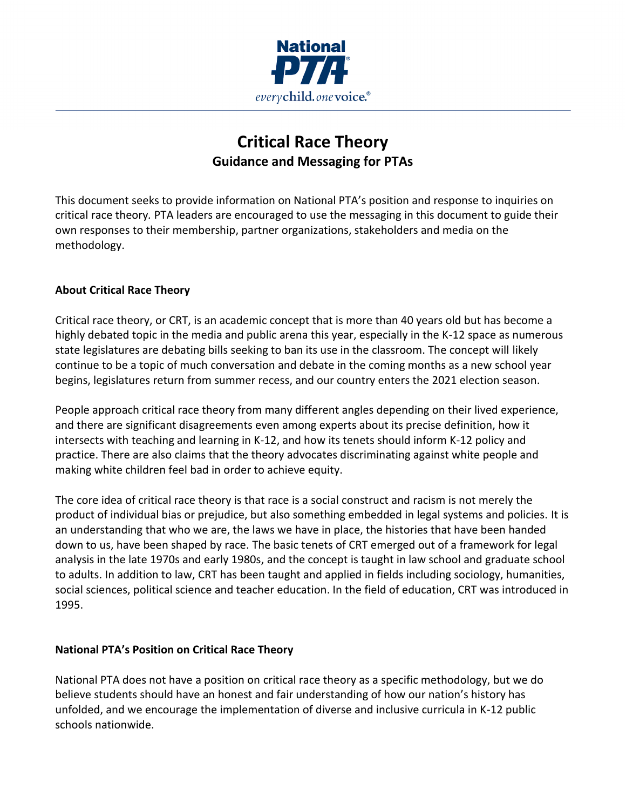

# **Critical Race Theory Guidance and Messaging for PTAs**

This document seeks to provide information on National PTA's position and response to inquiries on critical race theory*.* PTA leaders are encouraged to use the messaging in this document to guide their own responses to their membership, partner organizations, stakeholders and media on the methodology.

### **About Critical Race Theory**

Critical race theory, or CRT, is an academic concept that is more than 40 years old but has become a highly debated topic in the media and public arena this year, especially in the K-12 space as numerous state legislatures are debating bills seeking to ban its use in the classroom. The concept will likely continue to be a topic of much conversation and debate in the coming months as a new school year begins, legislatures return from summer recess, and our country enters the 2021 election season.

People approach critical race theory from many different angles depending on their lived experience, and there are significant disagreements even among experts about its precise definition, how it intersects with teaching and learning in K-12, and how its tenets should inform K-12 policy and practice. There are also claims that the theory advocates discriminating against white people and making white children feel bad in order to achieve equity.

The core idea of critical race theory is that race is a social construct and racism is not merely the product of individual bias or prejudice, but also something embedded in legal systems and policies. It is an understanding that who we are, the laws we have in place, the histories that have been handed down to us, have been shaped by race. The basic tenets of CRT emerged out of a framework for legal analysis in the late 1970s and early 1980s, and the concept is taught in law school and graduate school to adults. In addition to law, CRT has been taught and applied in fields including sociology, humanities, social sciences, political science and teacher education. In the field of education, CRT was introduced in 1995.

### **National PTA's Position on Critical Race Theory**

National PTA does not have a position on critical race theory as a specific methodology, but we do believe students should have an honest and fair understanding of how our nation's history has unfolded, and we encourage the implementation of diverse and inclusive curricula in K-12 public schools nationwide.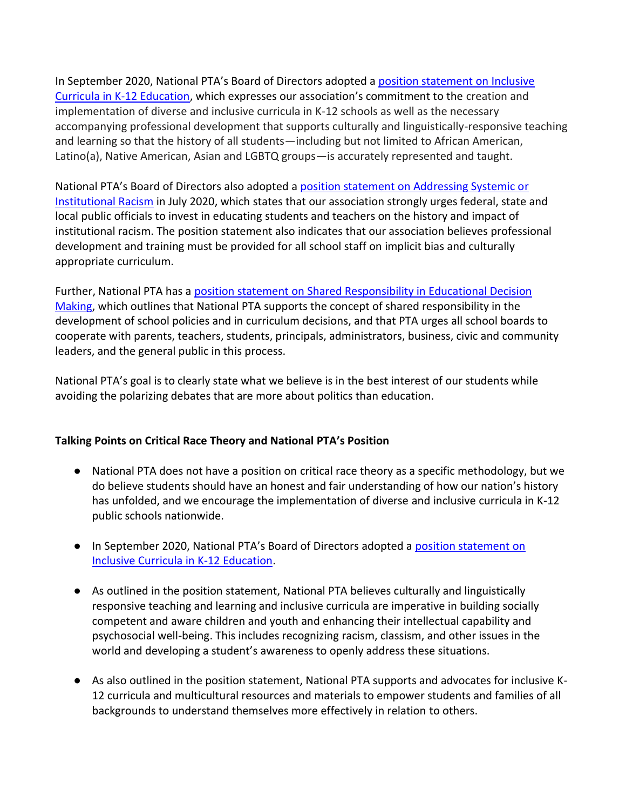In September 2020, National PTA's Board of Directors adopted a [position statement on Inclusive](https://www.pta.org/home/advocacy/ptas-positions/Individual-Position-Statements/position-statement---inclusive-curricula-in-k-12-education)  [Curricula in K-12 Education](https://www.pta.org/home/advocacy/ptas-positions/Individual-Position-Statements/position-statement---inclusive-curricula-in-k-12-education), which expresses our association's commitment to the creation and implementation of diverse and inclusive curricula in K-12 schools as well as the necessary accompanying professional development that supports culturally and linguistically-responsive teaching and learning so that the history of all students—including but not limited to African American, Latino(a), Native American, Asian and LGBTQ groups—is accurately represented and taught.

National PTA's Board of Directors also adopted a [position statement on Addressing Systemic or](https://www.pta.org/home/advocacy/ptas-positions/Individual-Position-Statements/position-statement---addressing-systemic-or-institutional-racism)  [Institutional Racism](https://www.pta.org/home/advocacy/ptas-positions/Individual-Position-Statements/position-statement---addressing-systemic-or-institutional-racism) in July 2020, which states that our association strongly urges federal, state and local public officials to invest in educating students and teachers on the history and impact of institutional racism. The position statement also indicates that our association believes professional development and training must be provided for all school staff on implicit bias and culturally appropriate curriculum.

Further, National PTA has a [position statement on Shared Responsibility in Educational Decision](https://www.pta.org/home/advocacy/ptas-positions/Individual-Position-Statements/Position-StatementShared-Responsibility-in-Educational-Decision-Making)  [Making,](https://www.pta.org/home/advocacy/ptas-positions/Individual-Position-Statements/Position-StatementShared-Responsibility-in-Educational-Decision-Making) which outlines that National PTA supports the concept of shared responsibility in the development of school policies and in curriculum decisions, and that PTA urges all school boards to cooperate with parents, teachers, students, principals, administrators, business, civic and community leaders, and the general public in this process.

National PTA's goal is to clearly state what we believe is in the best interest of our students while avoiding the polarizing debates that are more about politics than education.

### **Talking Points on Critical Race Theory and National PTA's Position**

- National PTA does not have a position on critical race theory as a specific methodology, but we do believe students should have an honest and fair understanding of how our nation's history has unfolded, and we encourage the implementation of diverse and inclusive curricula in K-12 public schools nationwide.
- In September 2020, National PTA's Board of Directors adopted a [position statement on](https://www.pta.org/home/advocacy/ptas-positions/Individual-Position-Statements/position-statement---inclusive-curricula-in-k-12-education)  [Inclusive Curricula in K-12 Education.](https://www.pta.org/home/advocacy/ptas-positions/Individual-Position-Statements/position-statement---inclusive-curricula-in-k-12-education)
- As outlined in the position statement, National PTA believes culturally and linguistically responsive teaching and learning and inclusive curricula are imperative in building socially competent and aware children and youth and enhancing their intellectual capability and psychosocial well-being. This includes recognizing racism, classism, and other issues in the world and developing a student's awareness to openly address these situations.
- As also outlined in the position statement, National PTA supports and advocates for inclusive K-12 curricula and multicultural resources and materials to empower students and families of all backgrounds to understand themselves more effectively in relation to others.